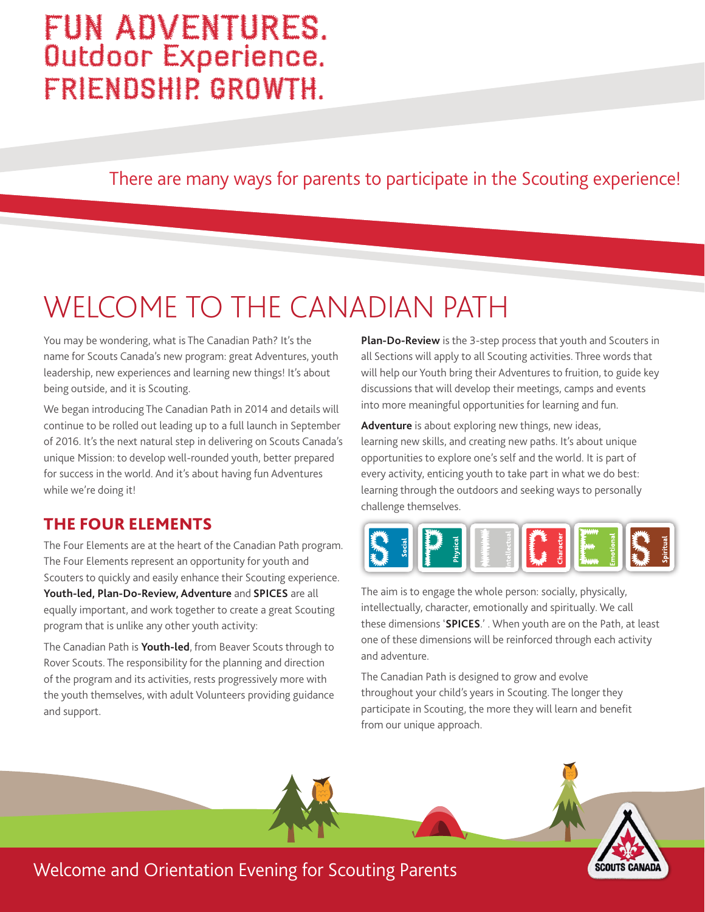## FUN ADVENTURES. Outdoor Experience. FRIENDSHIP. GROWTH.

There are many ways for parents to participate in the Scouting experience!

# WELCOME TO THE CANADIAN PATH

You may be wondering, what is The Canadian Path? It's the name for Scouts Canada's new program: great Adventures, youth leadership, new experiences and learning new things! It's about being outside, and it is Scouting.

We began introducing The Canadian Path in 2014 and details will continue to be rolled out leading up to a full launch in September of 2016. It's the next natural step in delivering on Scouts Canada's unique Mission: to develop well-rounded youth, better prepared for success in the world. And it's about having fun Adventures while we're doing it!

#### THE FOUR ELEMENTS

The Four Elements are at the heart of the Canadian Path program. The Four Elements represent an opportunity for youth and Scouters to quickly and easily enhance their Scouting experience. **Youth-led, Plan-Do-Review, Adventure** and **SPICES** are all equally important, and work together to create a great Scouting program that is unlike any other youth activity:

The Canadian Path is **Youth-led**, from Beaver Scouts through to Rover Scouts. The responsibility for the planning and direction of the program and its activities, rests progressively more with the youth themselves, with adult Volunteers providing guidance and support.

**Plan-Do-Review** is the 3-step process that youth and Scouters in all Sections will apply to all Scouting activities. Three words that will help our Youth bring their Adventures to fruition, to guide key discussions that will develop their meetings, camps and events into more meaningful opportunities for learning and fun.

**Adventure** is about exploring new things, new ideas, learning new skills, and creating new paths. It's about unique opportunities to explore one's self and the world. It is part of every activity, enticing youth to take part in what we do best: learning through the outdoors and seeking ways to personally challenge themselves.



The aim is to engage the whole person: socially, physically, intellectually, character, emotionally and spiritually. We call these dimensions '**SPICES**.' . When youth are on the Path, at least one of these dimensions will be reinforced through each activity and adventure.

The Canadian Path is designed to grow and evolve throughout your child's years in Scouting. The longer they participate in Scouting, the more they will learn and benefit from our unique approach.

SCOUTS CANADA

### Welcome and Orientation Evening for Scouting Parents